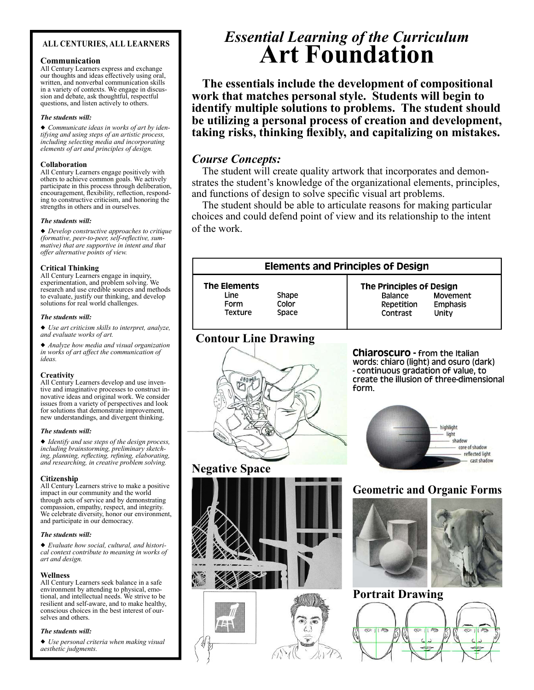### ALL CENTURIES, ALL LEARNERS

### Communication

All Century Learners express and exchange our thoughts and ideas effectively using oral, written, and nonverbal communication skills in a variety of contexts. We engage in discussion and debate, ask thoughtful, respectful questions, and listen actively to others.

#### The students will:

Communicate ideas in works of art by identifying and using steps of an artistic process, including selecting media and incorporating elements of art and principles of design.

### Collaboration

All Century Learners engage positively with others to achieve common goals. We actively participate in this process through deliberation, encouragement, flexibility, reflection, responding to constructive criticism, and honoring the strengths in others and in ourselves.

### The students will:

Develop constructive approaches to critique  $(for native, peer-to-peer, self-reflective, sum$ mative) that are supportive in intent and that offer alternative points of view.

### Critical Thinking

All Century Learners engage in inquiry, experimentation, and problem solving. We research and use credible sources and methods to evaluate, justify our thinking, and develop solutions for real world challenges.

#### The students will:

Use art criticism skills to interpret, analyze, and evaluate works of art.

Analyze how media and visual organization in works of art affect the communication of ideas.

### **Creativity**

All Century Learners develop and use inventive and imaginative processes to construct innovative ideas and original work. We consider issues from a variety of perspectives and look for solutions that demonstrate improvement, new understandings, and divergent thinking.

### The students will:

Identify and use steps of the design process, including brainstorming, preliminary sketching, planning, reflecting, refining, elaborating, and researching, in creative problem solving.

### **Citizenship**

All Century Learners strive to make a positive impact in our community and the world through acts of service and by demonstrating compassion, empathy, respect, and integrity. We celebrate diversity, honor our environment, and participate in our democracy.

### The students will:

Evaluate how social, cultural, and historical context contribute to meaning in works of art and design.

### Wellness

All Century Learners seek balance in a safe environment by attending to physical, emotional, and intellectual needs. We strive to be resilient and self-aware, and to make healthy, conscious choices in the best interest of ourselves and others.

### The students will:

Use personal criteria when making visual aesthetic judgments.

# Essential Learning of the Curriculum Art Foundation

The essentials include the development of compositional work that matches personal style. Students will begin to identify multiple solutions to problems. The student should be utilizing a personal process of creation and development, taking risks, thinking flexibly, and capitalizing on mistakes.

### Course Concepts:

The student will create quality artwork that incorporates and demonstrates the student's knowledge of the organizational elements, principles, and functions of design to solve specific visual art problems.

The student should be able to articulate reasons for making particular choices and could defend point of view and its relationship to the intent of the work.

### **Elements and Principles of Design The Elements The Principles of Design** Line Shape Balance Movement Form Color Repetition **Emphasis** Texture Space Contrast Unity Contour Line Drawing **Chiaroscuro - from the Italian** words: chiaro (light) and osuro (dark) - continuous gradation of value, to create the illusion of three-dimensional form. highlight light shadow core of shadow reflected light cast shadow Negative Space Geometric and Organic Forms Portrait Drawing $\overline{478}$  $11\infty$  $\frac{1}{\sqrt{2}}$